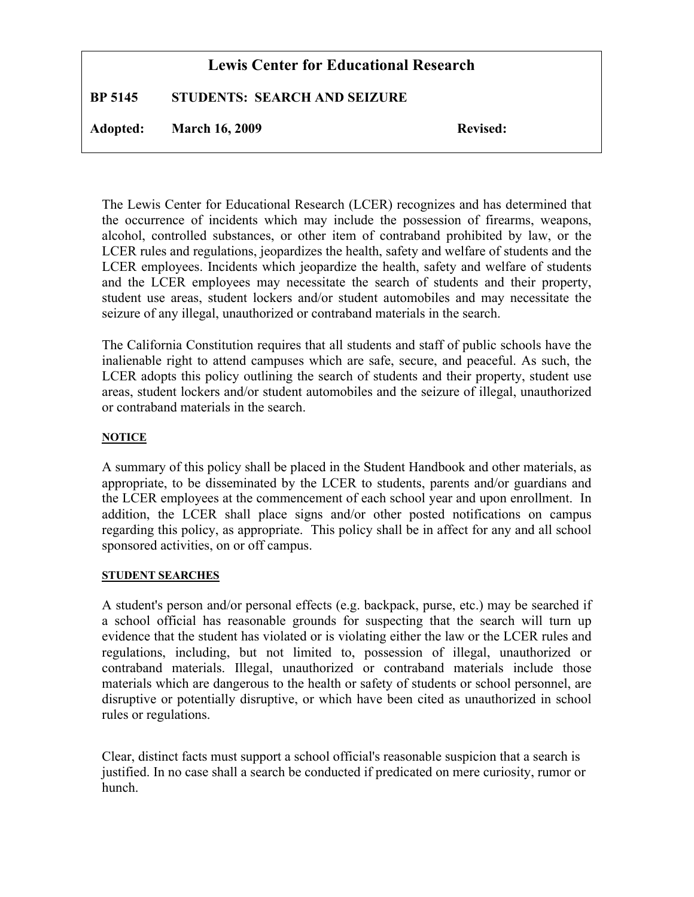# **Lewis Center for Educational Research**

**BP 5145 STUDENTS: SEARCH AND SEIZURE**

Adopted: March 16, 2009 Revised:

The Lewis Center for Educational Research (LCER) recognizes and has determined that the occurrence of incidents which may include the possession of firearms, weapons, alcohol, controlled substances, or other item of contraband prohibited by law, or the LCER rules and regulations, jeopardizes the health, safety and welfare of students and the LCER employees. Incidents which jeopardize the health, safety and welfare of students and the LCER employees may necessitate the search of students and their property, student use areas, student lockers and/or student automobiles and may necessitate the seizure of any illegal, unauthorized or contraband materials in the search.

The California Constitution requires that all students and staff of public schools have the inalienable right to attend campuses which are safe, secure, and peaceful. As such, the LCER adopts this policy outlining the search of students and their property, student use areas, student lockers and/or student automobiles and the seizure of illegal, unauthorized or contraband materials in the search.

#### **NOTICE**

A summary of this policy shall be placed in the Student Handbook and other materials, as appropriate, to be disseminated by the LCER to students, parents and/or guardians and the LCER employees at the commencement of each school year and upon enrollment. In addition, the LCER shall place signs and/or other posted notifications on campus regarding this policy, as appropriate. This policy shall be in affect for any and all school sponsored activities, on or off campus.

#### **STUDENT SEARCHES**

A student's person and/or personal effects (e.g. backpack, purse, etc.) may be searched if a school official has reasonable grounds for suspecting that the search will turn up evidence that the student has violated or is violating either the law or the LCER rules and regulations, including, but not limited to, possession of illegal, unauthorized or contraband materials. Illegal, unauthorized or contraband materials include those materials which are dangerous to the health or safety of students or school personnel, are disruptive or potentially disruptive, or which have been cited as unauthorized in school rules or regulations.

Clear, distinct facts must support a school official's reasonable suspicion that a search is justified. In no case shall a search be conducted if predicated on mere curiosity, rumor or hunch.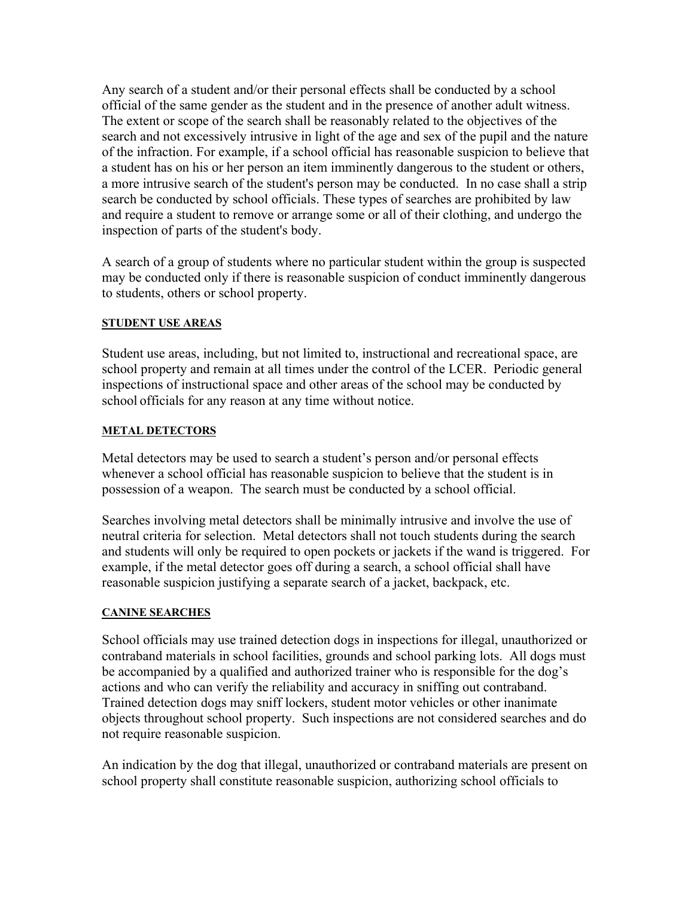Any search of a student and/or their personal effects shall be conducted by a school official of the same gender as the student and in the presence of another adult witness. The extent or scope of the search shall be reasonably related to the objectives of the search and not excessively intrusive in light of the age and sex of the pupil and the nature of the infraction. For example, if a school official has reasonable suspicion to believe that a student has on his or her person an item imminently dangerous to the student or others, a more intrusive search of the student's person may be conducted. In no case shall a strip search be conducted by school officials. These types of searches are prohibited by law and require a student to remove or arrange some or all of their clothing, and undergo the inspection of parts of the student's body.

A search of a group of students where no particular student within the group is suspected may be conducted only if there is reasonable suspicion of conduct imminently dangerous to students, others or school property.

## **STUDENT USE AREAS**

Student use areas, including, but not limited to, instructional and recreational space, are school property and remain at all times under the control of the LCER. Periodic general inspections of instructional space and other areas of the school may be conducted by school officials for any reason at any time without notice.

### **METAL DETECTORS**

Metal detectors may be used to search a student's person and/or personal effects whenever a school official has reasonable suspicion to believe that the student is in possession of a weapon. The search must be conducted by a school official.

Searches involving metal detectors shall be minimally intrusive and involve the use of neutral criteria for selection. Metal detectors shall not touch students during the search and students will only be required to open pockets or jackets if the wand is triggered. For example, if the metal detector goes off during a search, a school official shall have reasonable suspicion justifying a separate search of a jacket, backpack, etc.

## **CANINE SEARCHES**

School officials may use trained detection dogs in inspections for illegal, unauthorized or contraband materials in school facilities, grounds and school parking lots. All dogs must be accompanied by a qualified and authorized trainer who is responsible for the dog's actions and who can verify the reliability and accuracy in sniffing out contraband. Trained detection dogs may sniff lockers, student motor vehicles or other inanimate objects throughout school property. Such inspections are not considered searches and do not require reasonable suspicion.

An indication by the dog that illegal, unauthorized or contraband materials are present on school property shall constitute reasonable suspicion, authorizing school officials to